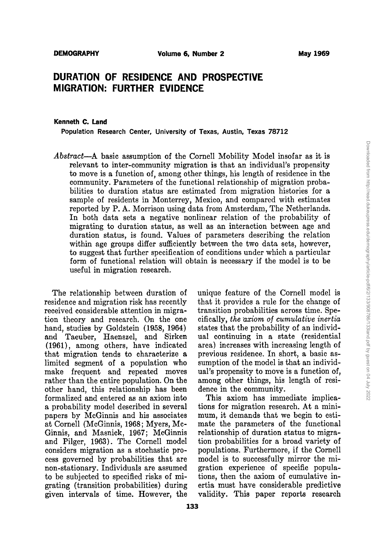# **DURATION OF RESIDENCE AND PROSPECTIVE MIGRATION: FURTHER EVIDENCE**

#### Kenneth C. Land

Population Research Center, University of Texas, Austin, Texas 78712

*Abstract-A* basic assumption of the Cornell Mobility Model insofar as it is relevant to inter-community migration is that an individual's propensity to move is a function of, among other things, his length of residence in the community. Parameters of the functional relationship of migration probabilities to duration status are estimated from migration histories for a sample of residents in Monterrey, Mexico, and compared with estimates reported by P. A. Morrison using data from Amsterdam, The Netherlands. In both data sets a negative nonlinear relation of the probability of migrating to duration status, as well as an interaction between age and duration status, is found. Values of parameters describing the relation within age groups differ sufficiently between the two data sets, however, to suggest that further specification of conditions under which a particular form of functional relation will obtain is necessary if the model is to be useful in migration research.

residence and migration risk has recently that it provides a rule for the change of received considerable attention in migra- transition probabilities across time. Spetion theory and research. On the one cifically, *the cxiom.* 0/ *cumulative inertia* hand, studies by Goldstein (1958, 1964) states that the probability of an individand Taeuber, Haenszel, and Sirken ual continuing in astate (residential (1961), among others, have indicated area) increases with increasing length of that migration tends to characterize a previous residence. In short, a basic aslimited segment of a population who sumption of the model is that an individmake frequent and repeated moves ual's propensity to move is a function of, rather than the entire population. On the among other things, his length of resiother hand, this relationship has been dence in the community. formalized and entered as an axiom into This axiom has immediate implicaa probability model described in several tions for migration research. At a minipapers by McGinnis and his associates mum, it demands that we begin to estiat Cornell (McGinnis, 1968; Myers, Mo- mate the parameters of the functional Ginnis, and Masnick, 1967; McGinnis relationship of duration status to migraand Pilger, 1963). The Cornell model tion probabilities for a broad variety of considers migration as a stochastic pro- populations. Furthermore, if the Cornell cess governed by probabilities that are model is to successfully mirror the minon-stationary. Individuals are assumed gration experience of specific populato be subjected to specified risks of mi- tions, then the axiom of cumulative ingrating (transition probabilities) during ertia must have considerable predictive given intervals of time. However, the validity. This paper reports research

The relationship between duration of unique feature of the Cornell model is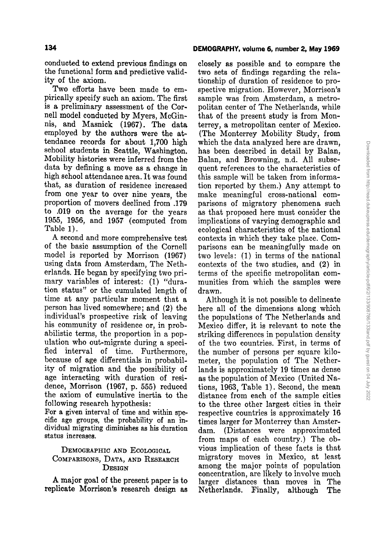# conducted to extend previous findings on the functional form and predictive valid-

ity of the axiom, Two efforts have been made to empirically specify such an axiom. The first is a preliminary assessment of the Cornell model conducted by Myers, McGinnis, and Masnick (1967). The data employed by the authors were the attendance records for about 1,700 high school students in Seattle, Washington. Mobility histories were inferred from the data by defining a move as a change in high school attendance area, It was found that, as duration of residence increased from one year to over nine years, the proportion of movers declined from .179 to .019 on the average for the years 1955, 1956, and 1957 (computed from Table 1).

A second and more comprehensive test of the basic assumption of the Cornell model is reported by Morrison (1967) using data from Amsterdam, The Netherlands. He began by specifying two primary variables of interest: (1) "duration status" or the cumulated length of time at any particular moment that a person has lived somewhere; and (2) the individual's prospective risk of leaving his community of residence or, in probabilistic terms, the proportion in a population who out-migrate during a specified interval of time. Furthermore, because of age differentials in probability of migration and the possibility of age interacting with duration of residence, Morrison (1967, p. 555) reduced the axiom of cumulative inertia to the following research hypothesis:

For a given interval of time and within specific age groups, the probability of an individual migrating diminishes as his duration status inereases.

## DEMOGRAPHIC AND ECOLOGICAL COMPARISONS, DATA, AND RESEARCH **DESIGN**

A major goal of the present paper is to replicate Morrison's researeh design as

#### DEMOGRAPHY, volume 6, number 2, May 1969

closely as possible and to compare the two sets of findings regarding the relationship of duration of residence to prospective migration, However, Morrison's sample was from Amsterdam, a metropolitan center of The Netherlands, while that of the present study is from Monterrey, a metropolitan center of Mexieo. (The Monterrey Mobility Study, from which the data analyzed here are drawn, has been described in detail by Balan, Balan, and Browning, n.d. All subsequent references to the characteristics of this sample will be taken from information reported by them.) Any attempt to make meaningful cross-national comparisons of migratory phenomena such as that proposed here must consider the implications of varying demographie and ecological characteristics of the national eontexts in which they take place. Comparisons can be meaningfully made on two levels: (1) in terms of the national contexts of the two studies, and (2) in terms of the specific metropolitan communities from which the samples were drawn.

Although it is not possible to delineate here all of the dimensions along which the populations of The Netherlands and Mexico differ, it is relevant to note the striking differences in population density of the two countries. First, in terms of the number of persons per square kilometer, the population of The Netherlands is approximately 19 times as dense as the population of Mexico (United Nations, 1963, Table l). Second, the mean distance from each of the sample cities to the three other largest cities in their respective countries is approximately 16 times larger for Monterrey than Amsterdam. (Distances were approximated from maps of each country.) The obvious implication of these facts is that migratory moves in Mexico, at least among the major points of population concentration, are likely to involve much larger distances than moves in The Netherlands. Finally, although The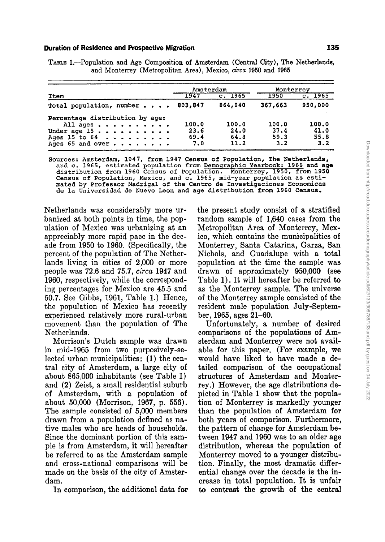#### **Duration of Residence and Prospective Migration 135**

|                                                                | Amsterdam |         | Monterrey |         |
|----------------------------------------------------------------|-----------|---------|-----------|---------|
| Item                                                           | 1947      | c. 1965 | $-1950$   | c. 1965 |
| Total population, number 803,847                               |           | 864,940 | 367,663   | 950,000 |
| Percentage distribution by age:                                |           |         |           |         |
| All ages                                                       | 100.0     | 100.0   | 100.0     | 100.0   |
| Under age $15 \cdot \cdot \cdot \cdot \cdot \cdot \cdot \cdot$ | 23.6      | 24.0    | 37.4      | 41.0    |
|                                                                | 69.4      | 64.8    | 59.3      | 55.8    |
| Ages 15 to $64$                                                |           |         |           |         |

TABLE 1.-Population and Age Composition of Amsterdam (Central City), The Netherlands, and Monterrey (Metropolitan Area), Mexico, *circa* 1950 and 1965

Sources: Amsterdam, 1947, from 1947 Census of Population, The Netherlands, and c. 1965, estimated population from Demographic Yearbook: 1966 and age distribution from 1960 Census of Population. Monterrey, 1950, from 1950 distribution from 1960 Census of Population. Monterrey, 1950, from 1950 Census of Population, Mexico, and c. 1965, mid-year population as estimated by Professor Madrigal of the Centro de Investigaciones Economicas de la Universidad de Nuevo Leon and age distribution from 1960 Census.

Netherlands was considerably more urbanized at both points in time, the population of Mexico was urbanizing at an appreciably more rapid pace in the decade from 1950 to 1960. (Specifically, the percent of the population of The Netherlands living in cities of 2,000 or more people was 72.6 and 75.7, *circa* 1947 and 1960, respectively, while the corresponding percentages for Mexico are 45.5 and 50.7. See Gibbs, 1961, Table 1.) Hence, the population of Mexico has recently experienced relatively more rural-urban movement than the population of The Netherlands.

Morrison's Dutch sampie was drawn in mid-1965 from two purposively-selected urban municipalities: (1) the eentral city of Amsterdam, a large city of about 865,000 inhabitants (see Table 1) and (2) Zeist, a small residential suburb of Amsterdam, with a population of about 50,000 (Morrison, 1967, p. 556). The sampie consisted of 5,000 members drawn from a population defined as native males who are heads of households. Since the dominant portion of this sampIe is from Amsterdam, it will hereafter be referred to as the Amsterdam sampie and cross-national comparisons will be made on the basis of the city of Amsterdam.

In comparison, the additional data for

the present study consist of a stratified random sampie of 1,640 cases from the Metropolitan Area of Monterrey, Mexico, which contains the municipalities of Monterrey, Santa Catarina, Garza, San Nichols, and Guadalupe with a total population at the time the sample was drawn of approximately 950,000 (see Table 1). It will hereafter be referred to as the Monterrey sampie. The universe of the Monterrey sampie consisted of the resident male population July-September, 1965, ages 21-60.

Unfortunately, a number of desired comparisons of the populations of Amsterdam and Monterrey were not available for this paper. (For example, we would have liked to have made a detailed comparison of the occupational structures of Amsterdam and Monterrey.) However, the age distributions depicted in Table 1 show that the population of Monterrey is markedly younger than the population of Amsterdam for both years of comparison. Furthermore, the pattern of change for Amsterdam between 1947 and 1960 was to an older age distribution, whereas the population of Monterrey moved to a younger distribution. Finally, the most dramatic differential change over the decade is the increase in total population. It is unfair to centrast the growth of the central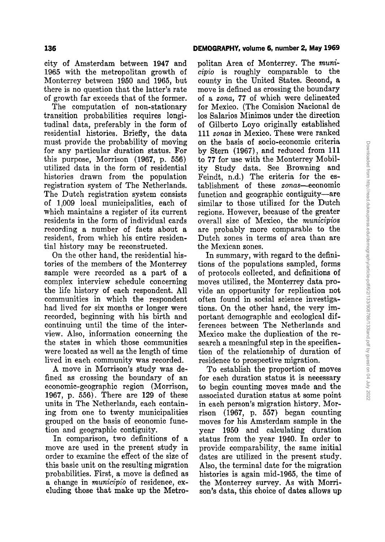## **DEMOGRAPHY. volume 6, number2, May 1969**

city of Amsterdam between 1947 and 1965 with the metropolitan growth of Monterrey between 1950 and 1965, but there is no question that the latter's rate of growth far exceeds that of the former.

The computation of non-stationary transition probabilities requires longitudinal data, preferably in the form of residential histories. Briefly, the data must provide the probability of moving for any particular duration status. For this purpose, Morrison (1967, p. 556) utilized data in the form of residential histories drawn from the population registration system of The Netherlands. The Dutch registration system consists of 1,009 local municipalities, each of which maintains a register of its current residents in the form of individual cards recording a number of facts about a resident, from which his entire residential history may be reconstructed.

On the other hand, the residential histories of the members of the Monterrey sample were recorded as a part of a complex interview schedule concerning the life history of each respondent. All communities in which the respondent had lived for six months or longer were recorded, beginning with his birth and continuing until the time of the interview. Also, information concerning the the states in which those communities were located as weIl as the length of time lived in each community was recorded.

A move in Morrison's study was defined as crossing the boundary of an economic-geographic region (Morrison, 1967, p. 556). There are 129 of these units in The Netherlands, each containing from one to twenty municipalities grouped on the basis of economic function and geographie contiguity.

In comparison, two definitions of a move are used in the present study in order to examine the effect of the size of this basic unit on the resulting migration probabilities. First, a move is defined as a change in *municipio* of residence, excluding those that make up the Metropolitan Area of Monterrey. The *municipio* is roughly comparable to the county in the United States. Second, a move is defined as crossing the boundary of a *zona,* 77 of which were delineated for Mexico. (The Comision Nacional de los Salarios Minimos under the direction of Gilberto Loyo originally established 111 *zonas* in Mexico. These were ranked on the basis of socio-eoonomic criteria by Stern (1967), and reduced from 111 to 77 for use with the Monterrey Mobility Study data. See Browning and Feindt, n.d.) The criteria for the establishment of these *zonas*—economic function and geographic contiguity-are similar to those utilized for the Dutch regions. However, because of the greater overall size of Mexico, the *municipios* are probably more comparable to the Dutch zones in terms of area than are the Mexican zones.

In summary, with regard to the definitions of the populations sampled, forms of protocols collected, and definitions of moves utilized, the Monterrey data provide an opportunity for replication not often found in social science investigations. On the other hand, the very important demographie and ecological differences between The Netherlands and Mexico make the duplication of the research a meaningful step in the specification of the relationship of duration of residence to prospective migration.

To establish the proportion of moves for each duration status it is necessary to begin counting moves made and the associated duration status at some point in each person's migration history. Morrison (1967, p. 557) began counting moves for his Amsterdam sample in the year 1950 and calculating duration status from the year 1940. In order to provide comparability, the same initial dates are utilized in the present study. Also, the terminal date for the migration histories is again mid-1965, the time of the Monterrey survey. As with Morrison's data, this choice of dates allows up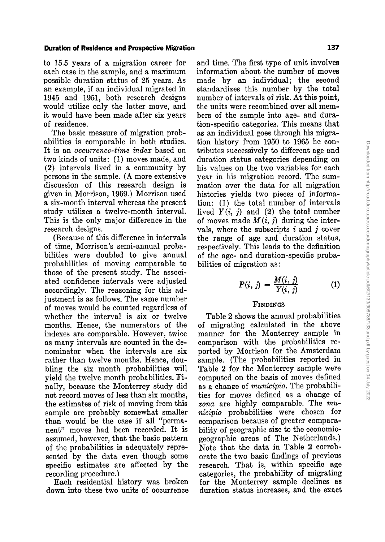## **Duration of Residence and Prospective Migration 137**

to 15.5 years of a migration career for each case in the sample, and a maximum possible duration status of 25 years. As an example, if an individual migrated in 1945 and 1951, both research designs would utilize only the latter move, and it would have been made after six years of residence.

The basic measure of migration probabilities is comparable in both studies. It is an *occurrence-iime index* based on two kinds of units: (1) moves made, and (2) intervals lived in a community by persons in the sampie. (A more extensive discussion of this research design is given in Morrison, 1969.) Morrison used a six-month interval whereas the present study utilizes a twelve-month interval. This is the only major difference in the research designs.

(Because of this difference in intervals of time, Morrison's semi-annual probabilities were doubled to give annual probabilities of moving comparable to those of the present study. The associated confidence intervals were adjusted accordingly. The reasoning for this adjustment is as folIows. The same number of moves would be counted regardless of whether the interval is six or twelve months. Hence, the numerators of the indexes are comparable. However, twice as many intervals are counted in the denominator when the intervals are six rather than twelve months. Hence, doubling the six month probabilities will yield the twelve month probabilities. Finally, because the Monterrey study did not record moves of less than six months, the estimates of risk of moving from this sampie are probably somewhat smaller than would be the ease if all "permanent" moves had been recorded. It is assumed, however, that the basic pattern of the probabilities is adequately represented by the data even though some specific estimates are affected by the recording procedure.)

Each residential history was broken down into these two units of occurrence and time. The first type of unit involves information about the number of moves made by an individual; the second standardizes this number by the total number of intervals of risk. At this point, the units were recombined over all members of the sampie into age- and duration-specific categories. This means that as an individual goes through his migration history from 1950 to 1965 he contributes successively to different age and duration status categories depending on his values on the two variables for each year in his migration record. The summation over the data for all migration histories yields two pieces of information: (l) the total number of intervals lived  $Y(i, j)$  and (2) the total number of moves made  $M(i, j)$  during the intervals, where the subscripts  $i$  and  $j$  cover the range of age and duration status, respectively. This leads to the definition of the age- and duration-specific probabilities of migration as:

$$
P(i, j) = \frac{M(i, j)}{Y(i, j)}
$$
 (1)

### FINDINGS

Table 2 shows the annual probabilities of migrating calculated in the above manner for the Monterrey sampie in comparison with the probabilities reported by Morrison for the Amsterdam sampie. (The probabilities reported in Table 2 for the Monterrey sampie were computed on the basis of moves defined as a change of *municipio.* The probabilities for moves defined as a change of *zona* are highly comparable. The *municipio* probabilities were chosen for comparison because of greater comparability of geographie size to the economicgeographie areas of The Netherlands.) Note that the data in Table 2 corroborate the two basic findings of previous research. That is, within specific age categories, the probability of migrating for the Monterrey sampie declines as duration status increases, and the exact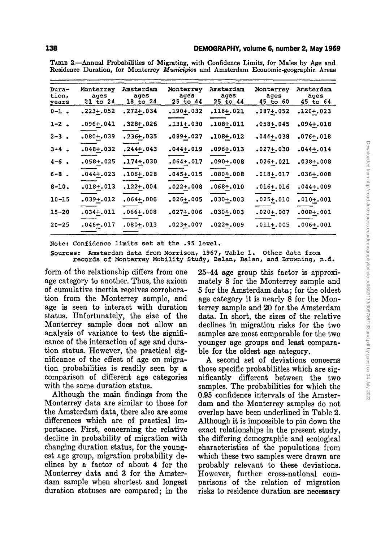| Dura-<br>tion,<br>years | Monterrey<br>ages<br>21 to 24 | Amsterdam<br>ages<br>18 to 24 | Monterrey<br>aqes<br>25 to 44 | Amsterdam<br>ages<br>25 to 44 | Monterrey<br>ages<br>45 to 60 | Amsterdam<br>ages<br>$45$ to $64$ |
|-------------------------|-------------------------------|-------------------------------|-------------------------------|-------------------------------|-------------------------------|-----------------------------------|
| $0 - 1$ .               | $.223 + .052$                 | .272+.034                     | .190+.032                     | .116+.021                     | $.087 + .052$                 | $.120+.023$                       |
| $1 - 2$ .               | $.096 + .041$                 | $.328 + .026$                 | $.131 + .030$                 | $.108 + .011$                 | $.058 + .045$                 | $.094 + .018$                     |
| $2 - 3$ .               | $.080 + .039$                 | $.236 + .035$                 | $.089 + .027$                 | $.108 + .012$                 | $.044 + .038$                 | $.076 + .018$                     |
| $3 - 4$ .               | $.048 + .032$                 | $.244 + .043$                 | $.044 + .019$                 | $.096 + .013$                 | $.027 + .030$                 | $.044 + .014$                     |
| $4 - 6$ .               | $.058 + .025$                 | $.174 + .030$                 | $.064 + .017$                 | $.090 + .008$                 | $.026 + .021$                 | $.038 + .008$                     |
| $6 - 8$ .               | $.044 + .023$                 | .106+.028                     | $.045 + .015$                 | $.080 + .008$                 | $.018 + .017$                 | $.036 + .008$                     |
| $8 - 10.$               | $.018 + .013$                 | $.122 + .004$                 | $.022 + .008$                 | $.068 + .010$                 | $.016 + .016$                 | $.044 + .009$                     |
| $10 - 15$               | $.039 + .012$                 | $.064 + .006$                 | $.026 + .005$                 | $.030 + .003$                 | $.025 + .010$                 | $.010+.001$                       |
| $15 - 20$               | $.034 + .011$                 | $.066 + .008$                 | $.027 + .006$                 | $.030 + .003$                 | $.020 + .007$                 | $.008 + .001$                     |
| $20 - 25$               | $.046 + .017$                 | $.080 + .013$                 | .023+.007                     | $.022 + .009$                 | $.011 + .005$                 | $.006 + .001$                     |

TABLE 2.-Annual Probabilities of Migrating, with Confidence Limits, for Males by Age and Residence Duration, for Monterrey *Municipio8* and Amsterdam Economic-geographic Areas

Note: Confidence limits set at the .95 level.

Sourees: Amsterdam data from Morrison, 1967, Table 1. Other data from records of Monterrey Mobility Study, Balan, Balan, and Browning, n.d.

form of the relationship differs from one age category to another. Thus, the axiom of cumulative inertia receives corroboration from the Monterrey sample, and age is seen to interact with duration status. Unfortunately, the size of the Monterrey sample does not allow an analysis of variance to test the significance of the interaction of age and duration status. However, the practical significance of the effect of age on migration probabilities is readily seen by a comparison of different age categories with the same duration status.

Although the main findings from the Monterrey data are similar to those for the Amsterdam data, there also are some differences which are of practical importance. First, concerning the relative decline in probability of migration with changing duration status, for the youngest age group, migration probability declines by a factor of about 4 for the Monterrey data and 3 for the Amsterdam sample when shortest and longest duration statuses are compared; in the 25-44 age group this factor is approximately 8 for the Monterrey sample and 5 for the Amsterdam data; for the oldest age category it is nearly 8 for the Monterrey sample and 20 for the Amsterdam data. In short, the sizes of the relative declines in migration risks for the two samples are most comparable for the two younger age groups and least comparable for the oldest age category.

A second set of deviations concerns those specific probabilities which are significantly different between the two samples, The probabilities for which the 0.95 confidence intervals of the Amsterdam and the Monterrey samples do not overlap have been underlined in Table 2. Although it is impossible to pin down the exact relationships in the present study, the differing demographie and ecological characteristics of the populations from which these two samples were drawn are probably relevant to these deviations. However, further cross-national comparisons of the relation of migration risks to residence duration are necessary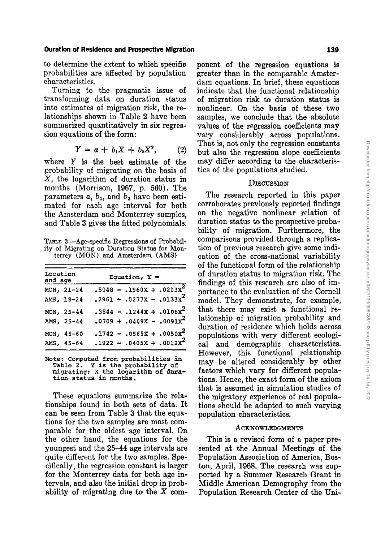#### Duration of Resldence and Prospeetive Migration

to determine the extent to which specific probabilities are affected by population eharaeteristies.

Turning to the pragmatic issue of transforming data on duration status into estimates of migration risk, the relationships shown in Table 2 have been summarized quantitatively in six regression equations of the form:

$$
Y = a + b_1 X + b_2 X^2, \t(2)
$$

where *Y* is the best estimate of the probability of migrating on the basis of X, the logarithm of duration status in months (Morrison, 1967, p. 560). The parameters  $a, b_1$ , and  $b_2$  have been estimated for eaeh age interval for both the Amsterdam and Monterrey samples, and Table 3 gives the fitted polynomials.

TABLE 3.-Age-specific Regressions of Probability of Migrating on Duration Status for Monterrey (MON) and Amsterdam (AMS)

| Location<br>and age |            | Equation, $Y =$             |  |  |
|---------------------|------------|-----------------------------|--|--|
|                     | MON, 21-24 | $.5048 - .1960x + .0203x^2$ |  |  |
|                     | AMS, 18-24 | $.2961 + .0277X - .0133x^2$ |  |  |
|                     | MON, 25-44 | $.3844 - .1244x + .0106x^2$ |  |  |
|                     | AMS, 25-44 | $.0709 + .0409X - .0091X^2$ |  |  |
|                     | MON, 45-60 | $.1742 - .0565X + .0050x^2$ |  |  |
|                     | AMS, 45-64 | $.1922 - .0405X + .0012X^2$ |  |  |

Note: Computed from probabilities in Table 2. Y is the probability of migrating; X the 10garithm of duration status in months.

These equations summarize the relationships found in both sets of data. It can be seen from Table 3 that the equations for the two samples are most comparable for the oldest age interval. On the other hand, the equations for the youngest and the 25-44 age intervals are quite different for the two samples. Specifically, the regression constant is larger for the Monterrey data for both age intervals, and also the Initial drop in probability of migrating due to the  $X$  component of the regression equations is greater than in the comparable Amsterdam equations. In brief, these equations indicate that the functional relationship of migration risk to duration status is nonlinear. On the basis of these two samples, we conclude that the absolute values of the regression coefficients may vary eonsiderably across populations. That is, not only the regression constants but also the regression slope coefficients may differ according to the characteristics of the populations studied.

#### **DISCUSSION**

The research reported in this paper corroborates previously reported findings on the negative nonlinear relation of duration status to the prospective probability of migration. Furthermore, the comparisons provided through a replication of previous research give some indication of the cross-national variability of the functional form of the relationship of duration status to migration risk. The findings of this research are also of importance to the evaluation of the Cornell model. They demonstrate, for example, that there may exist a functional relationship of migration probability and duration of residence which holds across populations with very different ecological and demographic characteristics. However, this functional relationship may be altered considerably by other factors which vary for different populations. Hence, the exact form of the axiom that is assumed in simulation studies of the migratory experience of real populations should be adapted to such varying population characteristics.

### **ACKNOWLEDGMENTS**

This is a revised form of a paper presented at the Annual Meetings of the Population Association of America, Boston, April, 1968. The research was supported by a Summer Research Grant in Middle American Demography from the Population Research Center of the Uni-